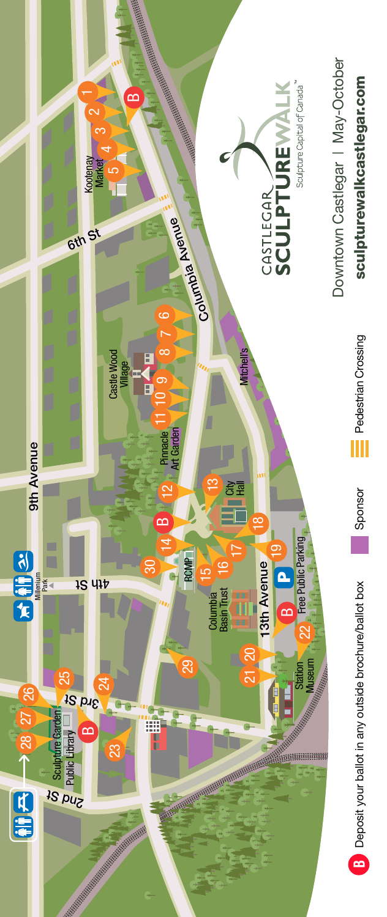